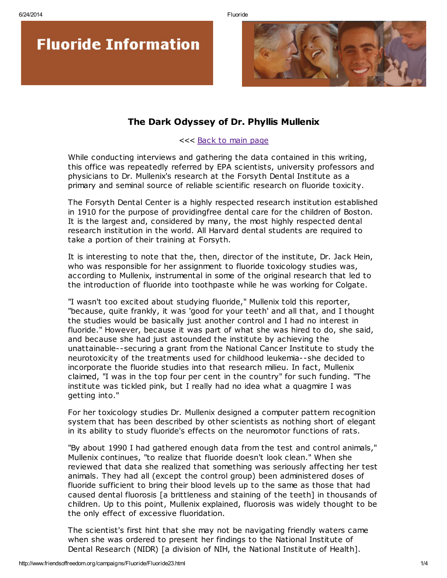



## The Dark Odyssey of Dr. Phyllis Mullenix

## <<< Back to main [page](http://www.friendsoffreedom.org/campaigns/Fluoride/Fluoride.html)

While conducting interviews and gathering the data contained in this writing, this office was repeatedly referred by EPA scientists, university professors and physicians to Dr. Mullenix's research at the Forsyth Dental Institute as a primary and seminal source of reliable scientific research on fluoride toxicity.

The Forsyth Dental Center is a highly respected research institution established in 1910 for the purpose of providingfree dental care for the children of Boston. It is the largest and, considered by many, the most highly respected dental research institution in the world. All Harvard dental students are required to take a portion of their training at Forsyth.

It is interesting to note that the, then, director of the institute, Dr. Jack Hein, who was responsible for her assignment to fluoride toxicology studies was, according to Mullenix, instrumental in some of the original research that led to the introduction of fluoride into toothpaste while he was working for Colgate.

"I wasn't too excited about studying fluoride," Mullenix told this reporter, "because, quite frankly, it was 'good for your teeth' and all that, and I thought the studies would be basically just another control and I had no interest in fluoride." However, because it was part of what she was hired to do, she said, and because she had just astounded the institute by achieving the unattainable--securing a grant from the National Cancer Institute to study the neurotoxicity of the treatments used for childhood leukemia--she decided to incorporate the fluoride studies into that research milieu. In fact, Mullenix claimed, "I was in the top four per cent in the country" for such funding. "The institute was tickled pink, but I really had no idea what a quagmire I was getting into."

For her toxicology studies Dr. Mullenix designed a computer pattern recognition system that has been described by other scientists as nothing short of elegant in its ability to study fluoride's effects on the neuromotor functions of rats.

"By about 1990 I had gathered enough data from the test and control animals," Mullenix continues, "to realize that fluoride doesn't look clean." When she reviewed that data she realized that something was seriously affecting her test animals. They had all (except the control group) been administered doses of fluoride sufficient to bring their blood levels up to the same as those that had caused dental fluorosis [a brittleness and staining of the teeth] in thousands of children. Up to this point, Mullenix explained, fluorosis was widely thought to be the only effect of excessive fluoridation.

The scientist's first hint that she may not be navigating friendly waters came when she was ordered to present her findings to the National Institute of Dental Research (NIDR) [a division of NIH, the National Institute of Health].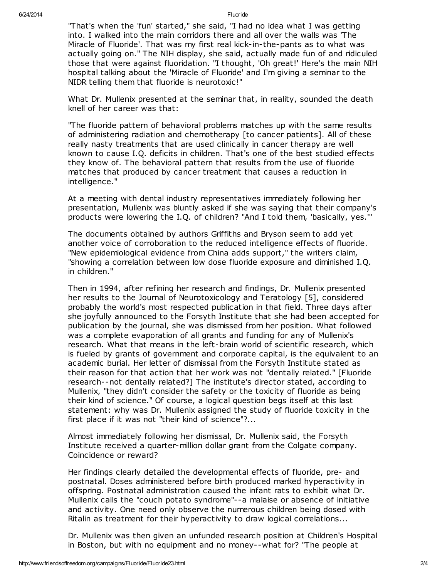"That's when the 'fun' started," she said, "I had no idea what I was getting into. I walked into the main corridors there and all over the walls was 'The Miracle of Fluoride'. That was my first real kick-in-the-pants as to what was actually going on." The NIH display, she said, actually made fun of and ridiculed those that were against fluoridation. "I thought, 'Oh great!' Here's the main NIH hospital talking about the 'Miracle of Fluoride' and I'm giving a seminar to the NIDR telling them that fluoride is neurotoxic!"

What Dr. Mullenix presented at the seminar that, in reality, sounded the death knell of her career was that:

"The fluoride pattern of behavioral problems matches up with the same results of administering radiation and chemotherapy [to cancer patients]. All of these really nasty treatments that are used clinically in cancer therapy are well known to cause I.Q. deficits in children. That's one of the best studied effects they know of. The behavioral pattern that results from the use of fluoride matches that produced by cancer treatment that causes a reduction in intelligence."

At a meeting with dental industry representatives immediately following her presentation, Mullenix was bluntly asked if she was saying that their company's products were lowering the I.Q. of children? "And I told them, 'basically, yes.'"

The documents obtained by authors Griffiths and Bryson seem to add yet another voice of corroboration to the reduced intelligence effects of fluoride. "New epidemiological evidence from China adds support," the writers claim, "showing a correlation between low dose fluoride exposure and diminished I.Q. in children."

Then in 1994, after refining her research and findings, Dr. Mullenix presented her results to the Journal of Neurotoxicology and Teratology [5], considered probably the world's most respected publication in that field. Three days after she joyfully announced to the Forsyth Institute that she had been accepted for publication by the journal, she was dismissed from her position. What followed was a complete evaporation of all grants and funding for any of Mullenix's research. What that means in the left-brain world of scientific research, which is fueled by grants of government and corporate capital, is the equivalent to an academic burial. Her letter of dismissal from the Forsyth Institute stated as their reason for that action that her work was not "dentally related." [Fluoride research--not dentally related?] The institute's director stated, according to Mullenix, "they didn't consider the safety or the toxicity of fluoride as being their kind of science." Of course, a logical question begs itself at this last statement: why was Dr. Mullenix assigned the study of fluoride toxicity in the first place if it was not "their kind of science"?...

Almost immediately following her dismissal, Dr. Mullenix said, the Forsyth Institute received a quarter-million dollar grant from the Colgate company. Coincidence or reward?

Her findings clearly detailed the developmental effects of fluoride, pre- and postnatal. Doses administered before birth produced marked hyperactivity in offspring. Postnatal administration caused the infant rats to exhibit what Dr. Mullenix calls the "couch potato syndrome"--a malaise or absence of initiative and activity. One need only observe the numerous children being dosed with Ritalin as treatment for their hyperactivity to draw logical correlations...

Dr. Mullenix was then given an unfunded research position at Children's Hospital in Boston, but with no equipment and no money--what for? "The people at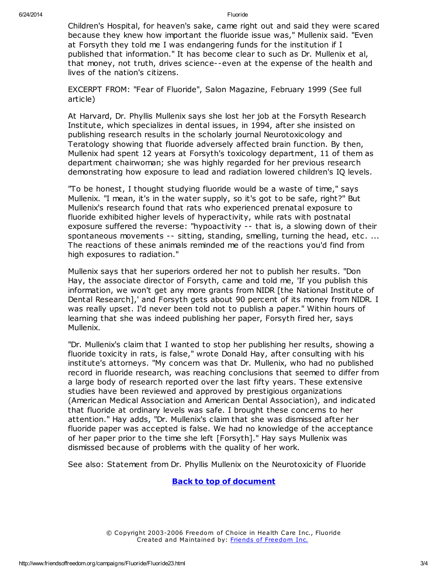Children's Hospital, for heaven's sake, came right out and said they were scared because they knew how important the fluoride issue was," Mullenix said. "Even at Forsyth they told me I was endangering funds for the institution if I published that information." It has become clear to such as Dr. Mullenix et al, that money, not truth, drives science--even at the expense of the health and lives of the nation's citizens.

EXCERPT FROM: "Fear of Fluoride", Salon Magazine, February 1999 (See full article)

At Harvard, Dr. Phyllis Mullenix says she lost her job at the Forsyth Research Institute, which specializes in dental issues, in 1994, after she insisted on publishing research results in the scholarly journal Neurotoxicology and Teratology showing that fluoride adversely affected brain function. By then, Mullenix had spent 12 years at Forsyth's toxicology department, 11 of them as department chairwoman; she was highly regarded for her previous research demonstrating how exposure to lead and radiation lowered children's IQ levels.

"To be honest, I thought studying fluoride would be a waste of time," says Mullenix. "I mean, it's in the water supply, so it's got to be safe, right?" But Mullenix's research found that rats who experienced prenatal exposure to fluoride exhibited higher levels of hyperactivity, while rats with postnatal exposure suffered the reverse: "hypoactivity -- that is, a slowing down of their spontaneous movements -- sitting, standing, smelling, turning the head, etc. ... The reactions of these animals reminded me of the reactions you'd find from high exposures to radiation."

Mullenix says that her superiors ordered her not to publish her results. "Don Hay, the associate director of Forsyth, came and told me, 'If you publish this information, we won't get any more grants from NIDR [the National Institute of Dental Research],' and Forsyth gets about 90 percent of its money from NIDR. I was really upset. I'd never been told not to publish a paper." Within hours of learning that she was indeed publishing her paper, Forsyth fired her, says Mullenix.

"Dr. Mullenix's claim that I wanted to stop her publishing her results, showing a fluoride toxicity in rats, is false," wrote Donald Hay, after consulting with his institute's attorneys. "My concern was that Dr. Mullenix, who had no published record in fluoride research, was reaching conclusions that seemed to differ from a large body of research reported over the last fifty years. These extensive studies have been reviewed and approved by prestigious organizations (American Medical Association and American Dental Association), and indicated that fluoride at ordinary levels was safe. I brought these concerns to her attention." Hay adds, "Dr. Mullenix's claim that she was dismissed after her fluoride paper was accepted is false. We had no knowledge of the acceptance of her paper prior to the time she left [Forsyth]." Hay says Mullenix was dismissed because of problems with the quality of her work.

See also: Statement from Dr. Phyllis Mullenix on the Neurotoxicity of Fluoride

Back to top of document

© Copyright 2003-2006 Freedom of Choice in Health Care Inc., Fluoride Created and Maintained by: Friends of [Freedom](http://www.friendsoffreedom.org/) Inc.